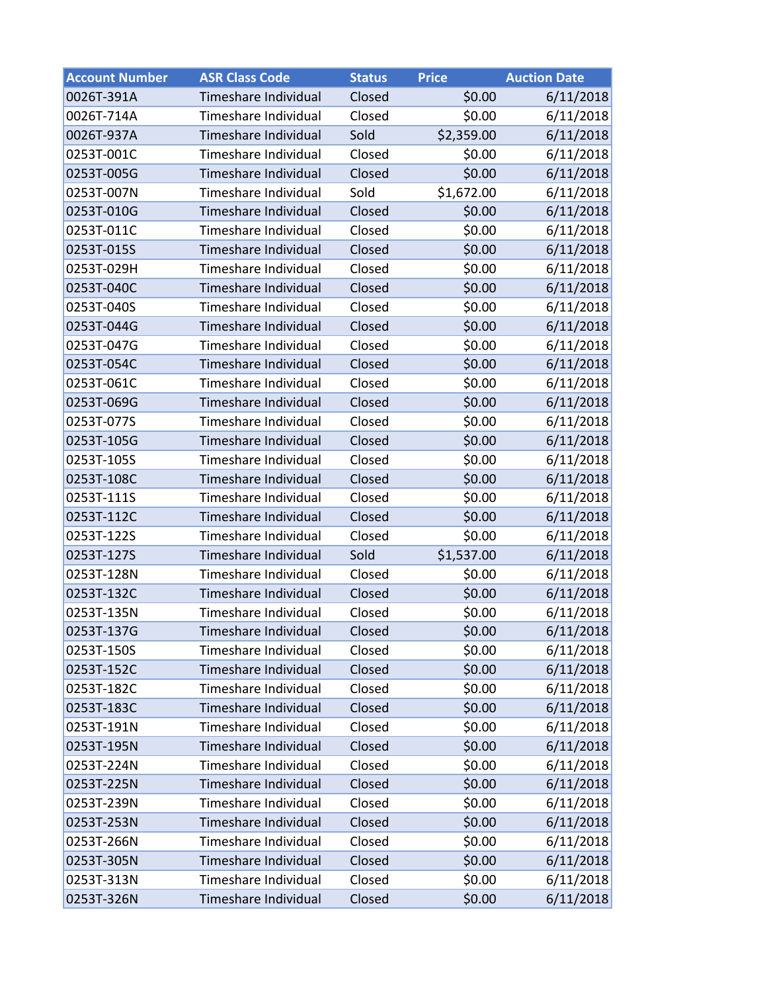| <b>Account Number</b> | <b>ASR Class Code</b> | <b>Status</b> | <b>Price</b> | <b>Auction Date</b> |  |
|-----------------------|-----------------------|---------------|--------------|---------------------|--|
| 0026T-391A            | Timeshare Individual  | Closed        | \$0.00       | 6/11/2018           |  |
| 0026T-714A            | Timeshare Individual  | Closed        | \$0.00       | 6/11/2018           |  |
| 0026T-937A            | Timeshare Individual  | Sold          | \$2,359.00   | 6/11/2018           |  |
| 0253T-001C            | Timeshare Individual  | Closed        | \$0.00       | 6/11/2018           |  |
| 0253T-005G            | Timeshare Individual  | Closed        | \$0.00       | 6/11/2018           |  |
| 0253T-007N            | Timeshare Individual  | Sold          | \$1,672.00   | 6/11/2018           |  |
| 0253T-010G            | Timeshare Individual  | Closed        | \$0.00       | 6/11/2018           |  |
| 0253T-011C            | Timeshare Individual  | Closed        | \$0.00       | 6/11/2018           |  |
| 0253T-015S            | Timeshare Individual  | Closed        | \$0.00       | 6/11/2018           |  |
| 0253T-029H            | Timeshare Individual  | Closed        | \$0.00       | 6/11/2018           |  |
| 0253T-040C            | Timeshare Individual  | Closed        | \$0.00       | 6/11/2018           |  |
| 0253T-040S            | Timeshare Individual  | Closed        | \$0.00       | 6/11/2018           |  |
| 0253T-044G            | Timeshare Individual  | Closed        | \$0.00       | 6/11/2018           |  |
| 0253T-047G            | Timeshare Individual  | Closed        | \$0.00       | 6/11/2018           |  |
| 0253T-054C            | Timeshare Individual  | Closed        | \$0.00       | 6/11/2018           |  |
| 0253T-061C            | Timeshare Individual  | Closed        | \$0.00       | 6/11/2018           |  |
| 0253T-069G            | Timeshare Individual  | Closed        | \$0.00       | 6/11/2018           |  |
| 0253T-077S            | Timeshare Individual  | Closed        | \$0.00       | 6/11/2018           |  |
| 0253T-105G            | Timeshare Individual  | Closed        | \$0.00       | 6/11/2018           |  |
| 0253T-105S            | Timeshare Individual  | Closed        | \$0.00       | 6/11/2018           |  |
| 0253T-108C            | Timeshare Individual  | Closed        | \$0.00       | 6/11/2018           |  |
| 0253T-111S            | Timeshare Individual  | Closed        | \$0.00       | 6/11/2018           |  |
| 0253T-112C            | Timeshare Individual  | Closed        | \$0.00       | 6/11/2018           |  |
| 0253T-122S            | Timeshare Individual  | Closed        | \$0.00       | 6/11/2018           |  |
| 0253T-127S            | Timeshare Individual  | Sold          | \$1,537.00   | 6/11/2018           |  |
| 0253T-128N            | Timeshare Individual  | Closed        | \$0.00       | 6/11/2018           |  |
| 0253T-132C            | Timeshare Individual  | Closed        | \$0.00       | 6/11/2018           |  |
| 0253T-135N            | Timeshare Individual  | Closed        | \$0.00       | 6/11/2018           |  |
| 0253T-137G            | Timeshare Individual  | Closed        | \$0.00       | 6/11/2018           |  |
| 0253T-150S            | Timeshare Individual  | Closed        | \$0.00       | 6/11/2018           |  |
| 0253T-152C            | Timeshare Individual  | Closed        | \$0.00       | 6/11/2018           |  |
| 0253T-182C            | Timeshare Individual  | Closed        | \$0.00       | 6/11/2018           |  |
| 0253T-183C            | Timeshare Individual  | Closed        | \$0.00       | 6/11/2018           |  |
| 0253T-191N            | Timeshare Individual  | Closed        | \$0.00       | 6/11/2018           |  |
| 0253T-195N            | Timeshare Individual  | Closed        | \$0.00       | 6/11/2018           |  |
| 0253T-224N            | Timeshare Individual  | Closed        | \$0.00       | 6/11/2018           |  |
| 0253T-225N            | Timeshare Individual  | Closed        | \$0.00       | 6/11/2018           |  |
| 0253T-239N            | Timeshare Individual  | Closed        | \$0.00       | 6/11/2018           |  |
| 0253T-253N            | Timeshare Individual  | Closed        | \$0.00       | 6/11/2018           |  |
| 0253T-266N            | Timeshare Individual  | Closed        | \$0.00       | 6/11/2018           |  |
| 0253T-305N            | Timeshare Individual  | Closed        | \$0.00       | 6/11/2018           |  |
| 0253T-313N            | Timeshare Individual  | Closed        | \$0.00       | 6/11/2018           |  |
| 0253T-326N            | Timeshare Individual  | Closed        | \$0.00       | 6/11/2018           |  |